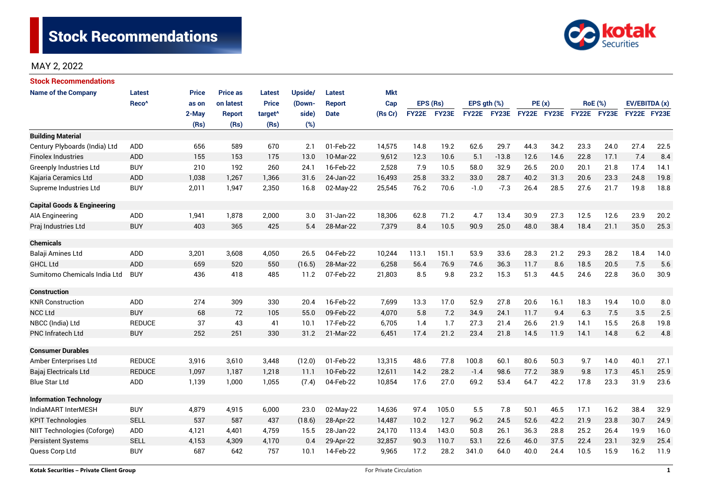

# MAY 2, 2022

| <b>Stock Recommendations</b>           |                   |       |                 |                     |         |             |            |              |       |             |         |             |      |                |      |               |      |
|----------------------------------------|-------------------|-------|-----------------|---------------------|---------|-------------|------------|--------------|-------|-------------|---------|-------------|------|----------------|------|---------------|------|
| <b>Name of the Company</b>             | Latest            | Price | <b>Price as</b> | Latest              | Upside/ | Latest      | <b>Mkt</b> |              |       |             |         |             |      |                |      |               |      |
|                                        | Reco <sup>^</sup> | as on | on latest       | <b>Price</b>        | (Down-  | Report      | Cap        | EPS (Rs)     |       | EPS gth (%) |         | PE(x)       |      | <b>RoE</b> (%) |      | EV/EBITDA (x) |      |
|                                        |                   | 2-May | <b>Report</b>   | target <sup>^</sup> | side)   | <b>Date</b> | (Rs Cr)    | <b>FY22E</b> | FY23E | FY22E       | FY23E   | FY22E FY23E |      | FY22E FY23E    |      | FY22E FY23E   |      |
|                                        |                   | (Rs)  | (Rs)            | (Rs)                | (%)     |             |            |              |       |             |         |             |      |                |      |               |      |
| <b>Building Material</b>               |                   |       |                 |                     |         |             |            |              |       |             |         |             |      |                |      |               |      |
| Century Plyboards (India) Ltd          | <b>ADD</b>        | 656   | 589             | 670                 | 2.1     | 01-Feb-22   | 14,575     | 14.8         | 19.2  | 62.6        | 29.7    | 44.3        | 34.2 | 23.3           | 24.0 | 27.4          | 22.5 |
| <b>Finolex Industries</b>              | <b>ADD</b>        | 155   | 153             | 175                 | 13.0    | 10-Mar-22   | 9,612      | 12.3         | 10.6  | 5.1         | $-13.8$ | 12.6        | 14.6 | 22.8           | 17.1 | 7.4           | 8.4  |
| Greenply Industries Ltd                | <b>BUY</b>        | 210   | 192             | 260                 | 24.1    | 16-Feb-22   | 2,528      | 7.9          | 10.5  | 58.0        | 32.9    | 26.5        | 20.0 | 20.1           | 21.8 | 17.4          | 14.1 |
| Kajaria Ceramics Ltd                   | ADD               | 1,038 | 1,267           | 1,366               | 31.6    | 24-Jan-22   | 16,493     | 25.8         | 33.2  | 33.0        | 28.7    | 40.2        | 31.3 | 20.6           | 23.3 | 24.8          | 19.8 |
| Supreme Industries Ltd                 | <b>BUY</b>        | 2,011 | 1,947           | 2,350               | 16.8    | 02-May-22   | 25,545     | 76.2         | 70.6  | $-1.0$      | $-7.3$  | 26.4        | 28.5 | 27.6           | 21.7 | 19.8          | 18.8 |
| <b>Capital Goods &amp; Engineering</b> |                   |       |                 |                     |         |             |            |              |       |             |         |             |      |                |      |               |      |
| AIA Engineering                        | ADD               | 1,941 | 1,878           | 2,000               | 3.0     | 31-Jan-22   | 18,306     | 62.8         | 71.2  | 4.7         | 13.4    | 30.9        | 27.3 | 12.5           | 12.6 | 23.9          | 20.2 |
| Praj Industries Ltd                    | <b>BUY</b>        | 403   | 365             | 425                 | 5.4     | 28-Mar-22   | 7,379      | 8.4          | 10.5  | 90.9        | 25.0    | 48.0        | 38.4 | 18.4           | 21.1 | 35.0          | 25.3 |
|                                        |                   |       |                 |                     |         |             |            |              |       |             |         |             |      |                |      |               |      |
| <b>Chemicals</b>                       |                   |       |                 |                     |         |             |            |              |       |             |         |             |      |                |      |               |      |
| Balaji Amines Ltd                      | ADD               | 3,201 | 3,608           | 4,050               | 26.5    | 04-Feb-22   | 10,244     | 113.1        | 151.1 | 53.9        | 33.6    | 28.3        | 21.2 | 29.3           | 28.2 | 18.4          | 14.0 |
| <b>GHCL Ltd</b>                        | <b>ADD</b>        | 659   | 520             | 550                 | (16.5)  | 28-Mar-22   | 6,258      | 56.4         | 76.9  | 74.6        | 36.3    | 11.7        | 8.6  | 18.5           | 20.5 | 7.5           | 5.6  |
| Sumitomo Chemicals India Ltd           | <b>BUY</b>        | 436   | 418             | 485                 | 11.2    | 07-Feb-22   | 21,803     | 8.5          | 9.8   | 23.2        | 15.3    | 51.3        | 44.5 | 24.6           | 22.8 | 36.0          | 30.9 |
| Construction                           |                   |       |                 |                     |         |             |            |              |       |             |         |             |      |                |      |               |      |
| <b>KNR Construction</b>                | ADD               | 274   | 309             | 330                 | 20.4    | 16-Feb-22   | 7,699      | 13.3         | 17.0  | 52.9        | 27.8    | 20.6        | 16.1 | 18.3           | 19.4 | 10.0          | 8.0  |
| <b>NCC Ltd</b>                         | <b>BUY</b>        | 68    | 72              | 105                 | 55.0    | 09-Feb-22   | 4,070      | 5.8          | 7.2   | 34.9        | 24.1    | 11.7        | 9.4  | 6.3            | 7.5  | 3.5           | 2.5  |
| NBCC (India) Ltd                       | <b>REDUCE</b>     | 37    | 43              | 41                  | 10.1    | 17-Feb-22   | 6,705      | 1.4          | 1.7   | 27.3        | 21.4    | 26.6        | 21.9 | 14.1           | 15.5 | 26.8          | 19.8 |
| PNC Infratech Ltd                      | <b>BUY</b>        | 252   | 251             | 330                 | 31.2    | 21-Mar-22   | 6,451      | 17.4         | 21.2  | 23.4        | 21.8    | 14.5        | 11.9 | 14.1           | 14.8 | 6.2           | 4.8  |
| <b>Consumer Durables</b>               |                   |       |                 |                     |         |             |            |              |       |             |         |             |      |                |      |               |      |
| Amber Enterprises Ltd                  | <b>REDUCE</b>     | 3,916 | 3,610           | 3,448               | (12.0)  | 01-Feb-22   | 13,315     | 48.6         | 77.8  | 100.8       | 60.1    | 80.6        | 50.3 | 9.7            | 14.0 | 40.1          | 27.1 |
| Bajaj Electricals Ltd                  | <b>REDUCE</b>     | 1,097 | 1.187           | 1,218               | 11.1    | 10-Feb-22   | 12,611     | 14.2         | 28.2  | $-1.4$      | 98.6    | 77.2        | 38.9 | 9.8            | 17.3 | 45.1          | 25.9 |
| <b>Blue Star Ltd</b>                   | <b>ADD</b>        | 1,139 | 1,000           | 1,055               | (7.4)   | 04-Feb-22   | 10,854     | 17.6         | 27.0  | 69.2        | 53.4    | 64.7        | 42.2 | 17.8           | 23.3 | 31.9          | 23.6 |
| <b>Information Technology</b>          |                   |       |                 |                     |         |             |            |              |       |             |         |             |      |                |      |               |      |
| IndiaMART InterMESH                    | <b>BUY</b>        | 4,879 | 4,915           | 6,000               | 23.0    | 02-May-22   | 14,636     | 97.4         | 105.0 | 5.5         | 7.8     | 50.1        | 46.5 | 17.1           | 16.2 | 38.4          | 32.9 |
| <b>KPIT Technologies</b>               | <b>SELL</b>       | 537   | 587             | 437                 | (18.6)  | 28-Apr-22   | 14,487     | 10.2         | 12.7  | 96.2        | 24.5    | 52.6        | 42.2 | 21.9           | 23.8 | 30.7          | 24.9 |
| NIIT Technologies (Coforge)            | ADD               | 4,121 | 4,401           | 4,759               | 15.5    | 28-Jan-22   | 24,170     | 113.4        | 143.0 | 50.8        | 26.1    | 36.3        | 28.8 | 25.2           | 26.4 | 19.9          | 16.0 |
| <b>Persistent Systems</b>              | <b>SELL</b>       | 4,153 | 4,309           | 4,170               | 0.4     | 29-Apr-22   | 32,857     | 90.3         | 110.7 | 53.1        | 22.6    | 46.0        | 37.5 | 22.4           | 23.1 | 32.9          | 25.4 |
| Quess Corp Ltd                         | <b>BUY</b>        | 687   | 642             | 757                 | 10.1    | 14-Feb-22   | 9,965      | 17.2         | 28.2  | 341.0       | 64.0    | 40.0        | 24.4 | 10.5           | 15.9 | 16.2          | 11.9 |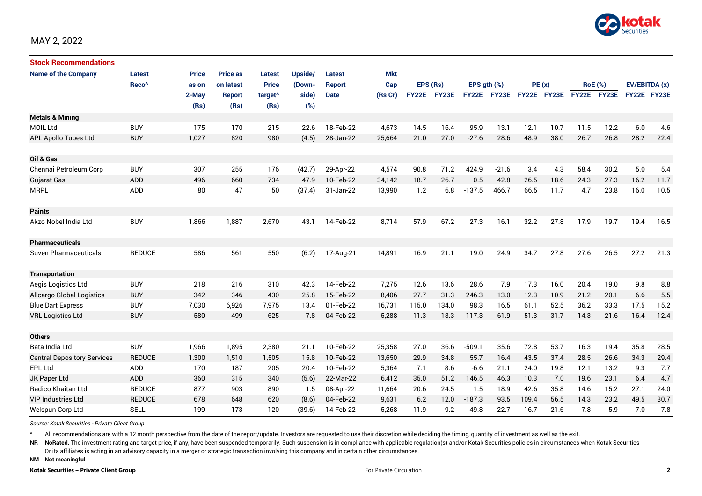

| <b>Stock Recommendations</b>       |                   |              |                 |                     |         |               |            |              |          |              |             |             |       |             |                |             |               |  |
|------------------------------------|-------------------|--------------|-----------------|---------------------|---------|---------------|------------|--------------|----------|--------------|-------------|-------------|-------|-------------|----------------|-------------|---------------|--|
| <b>Name of the Company</b>         | Latest            | <b>Price</b> | <b>Price as</b> | <b>Latest</b>       | Upside/ | Latest        | <b>Mkt</b> |              |          |              |             |             |       |             |                |             |               |  |
|                                    | Reco <sup>^</sup> | as on        | on latest       | <b>Price</b>        | (Down-  | <b>Report</b> | Cap        |              | EPS (Rs) |              | EPS gth (%) |             | PE(x) |             | <b>RoE</b> (%) |             | EV/EBITDA (x) |  |
|                                    |                   | 2-May        | <b>Report</b>   | target <sup>^</sup> | side)   | <b>Date</b>   | (Rs Cr)    | <b>FY22E</b> | FY23E    | <b>FY22E</b> | FY23E       | FY22E FY23E |       | FY22E FY23E |                | FY22E FY23E |               |  |
|                                    |                   | (Rs)         | (Rs)            | (Rs)                | (%)     |               |            |              |          |              |             |             |       |             |                |             |               |  |
| <b>Metals &amp; Mining</b>         |                   |              |                 |                     |         |               |            |              |          |              |             |             |       |             |                |             |               |  |
| <b>MOIL Ltd</b>                    | <b>BUY</b>        | 175          | 170             | 215                 | 22.6    | 18-Feb-22     | 4,673      | 14.5         | 16.4     | 95.9         | 13.1        | 12.1        | 10.7  | 11.5        | 12.2           | 6.0         | 4.6           |  |
| APL Apollo Tubes Ltd               | <b>BUY</b>        | 1,027        | 820             | 980                 | (4.5)   | 28-Jan-22     | 25,664     | 21.0         | 27.0     | $-27.6$      | 28.6        | 48.9        | 38.0  | 26.7        | 26.8           | 28.2        | 22.4          |  |
| Oil & Gas                          |                   |              |                 |                     |         |               |            |              |          |              |             |             |       |             |                |             |               |  |
| Chennai Petroleum Corp             | <b>BUY</b>        | 307          | 255             | 176                 | (42.7)  | 29-Apr-22     | 4,574      | 90.8         | 71.2     | 424.9        | $-21.6$     | 3.4         | 4.3   | 58.4        | 30.2           | 5.0         | 5.4           |  |
| <b>Gujarat Gas</b>                 | ADD               | 496          | 660             | 734                 | 47.9    | 10-Feb-22     | 34,142     | 18.7         | 26.7     | 0.5          | 42.8        | 26.5        | 18.6  | 24.3        | 27.3           | 16.2        | 11.7          |  |
| <b>MRPL</b>                        | ADD               | 80           | 47              | 50                  | (37.4)  | 31-Jan-22     | 13,990     | 1.2          | 6.8      | $-137.5$     | 466.7       | 66.5        | 11.7  | 4.7         | 23.8           | 16.0        | 10.5          |  |
| <b>Paints</b>                      |                   |              |                 |                     |         |               |            |              |          |              |             |             |       |             |                |             |               |  |
| Akzo Nobel India Ltd               | <b>BUY</b>        | 1,866        | 1,887           | 2,670               | 43.1    | 14-Feb-22     | 8,714      | 57.9         | 67.2     | 27.3         | 16.1        | 32.2        | 27.8  | 17.9        | 19.7           | 19.4        | 16.5          |  |
| <b>Pharmaceuticals</b>             |                   |              |                 |                     |         |               |            |              |          |              |             |             |       |             |                |             |               |  |
| Suven Pharmaceuticals              | <b>REDUCE</b>     | 586          | 561             | 550                 | (6.2)   | 17-Aug-21     | 14,891     | 16.9         | 21.1     | 19.0         | 24.9        | 34.7        | 27.8  | 27.6        | 26.5           | 27.2        | 21.3          |  |
| <b>Transportation</b>              |                   |              |                 |                     |         |               |            |              |          |              |             |             |       |             |                |             |               |  |
| Aegis Logistics Ltd                | <b>BUY</b>        | 218          | 216             | 310                 | 42.3    | 14-Feb-22     | 7,275      | 12.6         | 13.6     | 28.6         | 7.9         | 17.3        | 16.0  | 20.4        | 19.0           | 9.8         | 8.8           |  |
| Allcargo Global Logistics          | <b>BUY</b>        | 342          | 346             | 430                 | 25.8    | 15-Feb-22     | 8,406      | 27.7         | 31.3     | 246.3        | 13.0        | 12.3        | 10.9  | 21.2        | 20.1           | 6.6         | 5.5           |  |
| <b>Blue Dart Express</b>           | <b>BUY</b>        | 7,030        | 6,926           | 7,975               | 13.4    | 01-Feb-22     | 16,731     | 115.0        | 134.0    | 98.3         | 16.5        | 61.1        | 52.5  | 36.2        | 33.3           | 17.5        | 15.2          |  |
| <b>VRL Logistics Ltd</b>           | <b>BUY</b>        | 580          | 499             | 625                 | 7.8     | 04-Feb-22     | 5,288      | 11.3         | 18.3     | 117.3        | 61.9        | 51.3        | 31.7  | 14.3        | 21.6           | 16.4        | 12.4          |  |
| <b>Others</b>                      |                   |              |                 |                     |         |               |            |              |          |              |             |             |       |             |                |             |               |  |
| Bata India Ltd                     | <b>BUY</b>        | 1,966        | 1,895           | 2,380               | 21.1    | 10-Feb-22     | 25,358     | 27.0         | 36.6     | $-509.1$     | 35.6        | 72.8        | 53.7  | 16.3        | 19.4           | 35.8        | 28.5          |  |
| <b>Central Depository Services</b> | <b>REDUCE</b>     | 1,300        | 1,510           | 1,505               | 15.8    | 10-Feb-22     | 13,650     | 29.9         | 34.8     | 55.7         | 16.4        | 43.5        | 37.4  | 28.5        | 26.6           | 34.3        | 29.4          |  |
| EPL Ltd                            | ADD               | 170          | 187             | 205                 | 20.4    | 10-Feb-22     | 5,364      | 7.1          | 8.6      | $-6.6$       | 21.1        | 24.0        | 19.8  | 12.1        | 13.2           | 9.3         | 7.7           |  |
| JK Paper Ltd                       | ADD               | 360          | 315             | 340                 | (5.6)   | 22-Mar-22     | 6,412      | 35.0         | 51.2     | 146.5        | 46.3        | 10.3        | 7.0   | 19.6        | 23.1           | 6.4         | 4.7           |  |
| Radico Khaitan Ltd                 | <b>REDUCE</b>     | 877          | 903             | 890                 | 1.5     | 08-Apr-22     | 11,664     | 20.6         | 24.5     | 1.5          | 18.9        | 42.6        | 35.8  | 14.6        | 15.2           | 27.1        | 24.0          |  |
| <b>VIP Industries Ltd</b>          | <b>REDUCE</b>     | 678          | 648             | 620                 | (8.6)   | 04-Feb-22     | 9,631      | 6.2          | 12.0     | $-187.3$     | 93.5        | 109.4       | 56.5  | 14.3        | 23.2           | 49.5        | 30.7          |  |
| Welspun Corp Ltd                   | <b>SELL</b>       | 199          | 173             | 120                 | (39.6)  | 14-Feb-22     | 5,268      | 11.9         | 9.2      | $-49.8$      | $-22.7$     | 16.7        | 21.6  | 7.8         | 5.9            | 7.0         | 7.8           |  |

*Source: Kotak Securities - Private Client Group*

All recommendations are with a 12 month perspective from the date of the report/update. Investors are requested to use their discretion while deciding the timing, quantity of investment as well as the exit.

NR NoRated. The investment rating and target price, if any, have been suspended temporarily. Such suspension is in compliance with applicable regulation(s) and/or Kotak Securities policies in circumstances when Kotak Secur

Or its affiliates is acting in an advisory capacity in a merger or strategic transaction involving this company and in certain other circumstances.

**NM Not meaningful**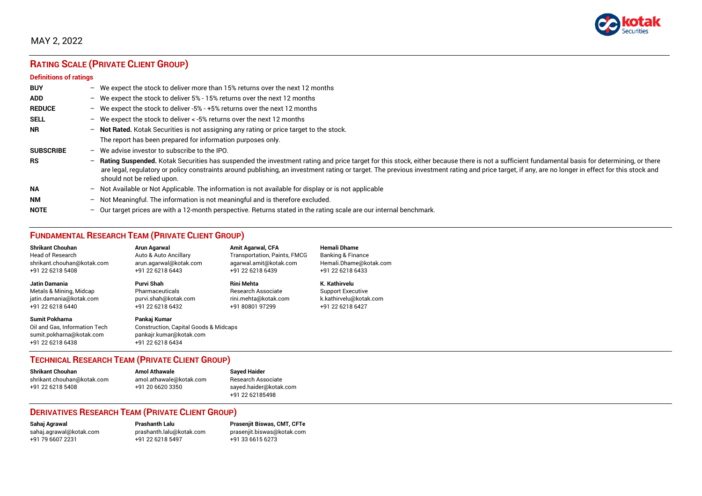

# MAY 2, 2022

# **RATING SCALE (PRIVATE CLIENT GROUP)**

#### **Definitions of ratings**

| <b>BUY</b>       | $\overline{\phantom{0}}$ | We expect the stock to deliver more than 15% returns over the next 12 months                                                                                                                                                                                                                                                                                                                                                     |
|------------------|--------------------------|----------------------------------------------------------------------------------------------------------------------------------------------------------------------------------------------------------------------------------------------------------------------------------------------------------------------------------------------------------------------------------------------------------------------------------|
| <b>ADD</b>       |                          | - We expect the stock to deliver $5\%$ - 15% returns over the next 12 months                                                                                                                                                                                                                                                                                                                                                     |
| <b>REDUCE</b>    | $-$                      | We expect the stock to deliver -5% - +5% returns over the next 12 months                                                                                                                                                                                                                                                                                                                                                         |
| <b>SELL</b>      |                          | - We expect the stock to deliver $\lt$ -5% returns over the next 12 months                                                                                                                                                                                                                                                                                                                                                       |
| <b>NR</b>        | $-$                      | Not Rated. Kotak Securities is not assigning any rating or price target to the stock.                                                                                                                                                                                                                                                                                                                                            |
|                  |                          | The report has been prepared for information purposes only.                                                                                                                                                                                                                                                                                                                                                                      |
| <b>SUBSCRIBE</b> | $\overline{\phantom{0}}$ | We advise investor to subscribe to the IPO.                                                                                                                                                                                                                                                                                                                                                                                      |
| <b>RS</b>        | $-$                      | Rating Suspended. Kotak Securities has suspended the investment rating and price target for this stock, either because there is not a sufficient fundamental basis for determining, or there<br>are legal, regulatory or policy constraints around publishing, an investment rating or target. The previous investment rating and price target, if any, are no longer in effect for this stock and<br>should not be relied upon. |
| <b>NA</b>        |                          | $-$ Not Available or Not Applicable. The information is not available for display or is not applicable                                                                                                                                                                                                                                                                                                                           |
| <b>NM</b>        | $-$                      | Not Meaningful. The information is not meaningful and is therefore excluded.                                                                                                                                                                                                                                                                                                                                                     |
| <b>NOTE</b>      | $-$                      | Our target prices are with a 12-month perspective. Returns stated in the rating scale are our internal benchmark.                                                                                                                                                                                                                                                                                                                |

# **FUNDAMENTAL RESEARCH TEAM (PRIVATE CLIENT GROUP)**

| <b>Shrikant Chouhan</b>                                                                                | <b>Arun Agarwal</b>                                                                                             | <b>Amit Agarwal, CFA</b>            | <b>Hemali Dhame</b>      |
|--------------------------------------------------------------------------------------------------------|-----------------------------------------------------------------------------------------------------------------|-------------------------------------|--------------------------|
| <b>Head of Research</b>                                                                                | Auto & Auto Ancillary                                                                                           | <b>Transportation, Paints, FMCG</b> | Banking & Finance        |
| shrikant.chouhan@kotak.com                                                                             | arun agarwal@kotak.com                                                                                          | agarwal.amit@kotak.com              | Hemali.Dhame@kotak.com   |
| +91 22 6218 5408                                                                                       | +91 22 6218 6443                                                                                                | +91 22 6218 6439                    | +91 22 6218 6433         |
| <b>Jatin Damania</b>                                                                                   | Purvi Shah                                                                                                      | <b>Rini Mehta</b>                   | K. Kathirvelu            |
| Metals & Mining, Midcap                                                                                | Pharmaceuticals                                                                                                 | <b>Research Associate</b>           | <b>Support Executive</b> |
| jatin.damania@kotak.com                                                                                | purvi.shah@kotak.com                                                                                            | rini.mehta@kotak.com                | k.kathirvelu@kotak.com   |
| +91 22 6218 6440                                                                                       | +91 22 6218 6432                                                                                                | +91 80801 97299                     | +91 22 6218 6427         |
| <b>Sumit Pokharna</b><br>Oil and Gas, Information Tech<br>sumit.pokharna@kotak.com<br>+91 22 6218 6438 | Pankaj Kumar<br><b>Construction, Capital Goods &amp; Midcaps</b><br>pankajr.kumar@kotak.com<br>+91 22 6218 6434 |                                     |                          |

### **TECHNICAL RESEARCH TEAM (PRIVATE CLIENT GROUP)**

| <b>Shrikant Chouhan</b>    | <b>Amol Athawale</b>    |  |
|----------------------------|-------------------------|--|
| shrikant.chouhan@kotak.com | amol.athawale@kotak.com |  |
| +91 22 6218 5408           | +91 20 6620 3350        |  |
|                            |                         |  |

**Sayed Haider** Research Associate [sayed.haider@kotak.com](mailto:sayed.haider@kotak.com) +91 22 62185498

### **DERIVATIVES RESEARCH TEAM (PRIVATE CLIENT GROUP)**

+91 22 6218 5497 +91 33 6615 6273

**Sahaj Agrawal Prashanth Lalu Prasenjit Biswas, CMT, CFTe** [sahaj.agrawal@kotak.com](mailto:sahaj.agrawal@kotak.com) [prashanth.lalu@kotak.com](mailto:prashanth.lalu@kotak.com) [prasenjit.biswas@kotak.com](mailto:prasenjit.biswas@kotak.com)